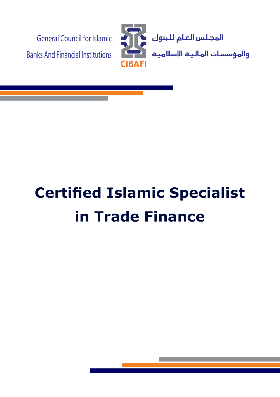

# **Certified Islamic Specialist in Trade Finance**

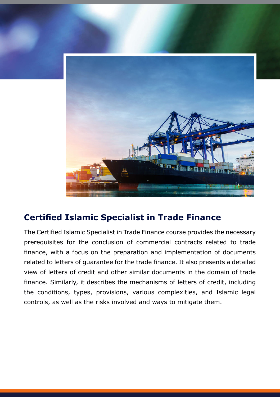

## **Certified Islamic Specialist in Trade Finance**

The Certified Islamic Specialist in Trade Finance course provides the necessary prerequisites for the conclusion of commercial contracts related to trade finance, with a focus on the preparation and implementation of documents related to letters of guarantee for the trade finance. It also presents a detailed view of letters of credit and other similar documents in the domain of trade finance. Similarly, it describes the mechanisms of letters of credit, including the conditions, types, provisions, various complexities, and Islamic legal controls, as well as the risks involved and ways to mitigate them.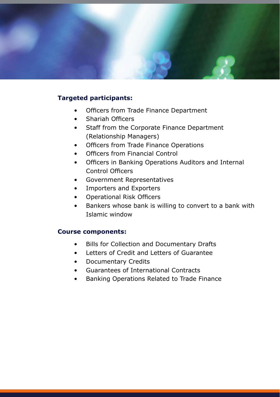

#### **Targeted participants:**

- Officers from Trade Finance Department
- Shariah Officers
- Staff from the Corporate Finance Department (Relationship Managers)
- Officers from Trade Finance Operations
- Officers from Financial Control
- Officers in Banking Operations Auditors and Internal Control Officers
- Government Representatives
- Importers and Exporters
- Operational Risk Officers
- Bankers whose bank is willing to convert to a bank with window Islamic

#### **Course components:**

- Bills for Collection and Documentary Drafts
- Letters of Credit and Letters of Guarantee
- Documentary Credits
- Guarantees of International Contracts
- Banking Operations Related to Trade Finance